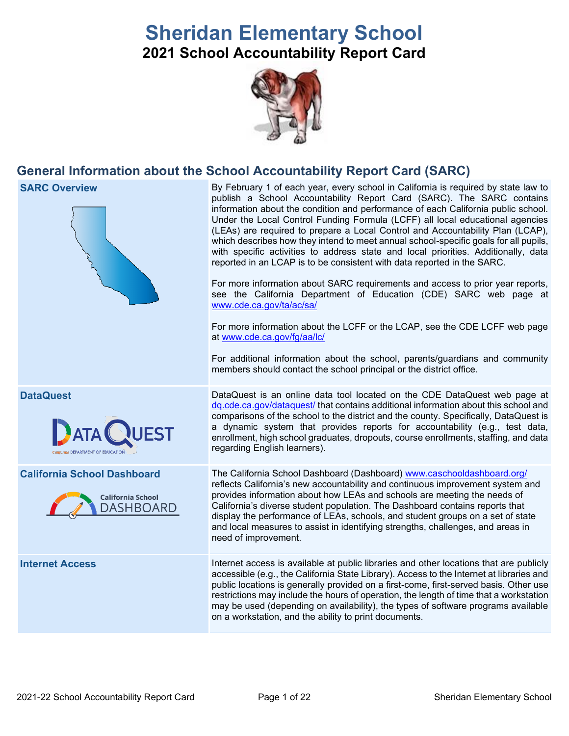# **Sheridan Elementary School 2021 School Accountability Report Card**



# **General Information about the School Accountability Report Card (SARC)**

| <b>SARC Overview</b>                                                        | By February 1 of each year, every school in California is required by state law to<br>publish a School Accountability Report Card (SARC). The SARC contains<br>information about the condition and performance of each California public school.<br>Under the Local Control Funding Formula (LCFF) all local educational agencies<br>(LEAs) are required to prepare a Local Control and Accountability Plan (LCAP),<br>which describes how they intend to meet annual school-specific goals for all pupils,<br>with specific activities to address state and local priorities. Additionally, data<br>reported in an LCAP is to be consistent with data reported in the SARC.<br>For more information about SARC requirements and access to prior year reports,<br>see the California Department of Education (CDE) SARC web page at<br>www.cde.ca.gov/ta/ac/sa/<br>For more information about the LCFF or the LCAP, see the CDE LCFF web page<br>at www.cde.ca.gov/fg/aa/lc/<br>For additional information about the school, parents/guardians and community<br>members should contact the school principal or the district office. |
|-----------------------------------------------------------------------------|-------------------------------------------------------------------------------------------------------------------------------------------------------------------------------------------------------------------------------------------------------------------------------------------------------------------------------------------------------------------------------------------------------------------------------------------------------------------------------------------------------------------------------------------------------------------------------------------------------------------------------------------------------------------------------------------------------------------------------------------------------------------------------------------------------------------------------------------------------------------------------------------------------------------------------------------------------------------------------------------------------------------------------------------------------------------------------------------------------------------------------------|
| <b>DataQuest</b><br>California DEPARTMENT OF EDUCATION                      | DataQuest is an online data tool located on the CDE DataQuest web page at<br>dq.cde.ca.gov/dataquest/ that contains additional information about this school and<br>comparisons of the school to the district and the county. Specifically, DataQuest is<br>a dynamic system that provides reports for accountability (e.g., test data,<br>enrollment, high school graduates, dropouts, course enrollments, staffing, and data<br>regarding English learners).                                                                                                                                                                                                                                                                                                                                                                                                                                                                                                                                                                                                                                                                      |
| <b>California School Dashboard</b><br><b>California School</b><br>DASHBOARD | The California School Dashboard (Dashboard) www.caschooldashboard.org/<br>reflects California's new accountability and continuous improvement system and<br>provides information about how LEAs and schools are meeting the needs of<br>California's diverse student population. The Dashboard contains reports that<br>display the performance of LEAs, schools, and student groups on a set of state<br>and local measures to assist in identifying strengths, challenges, and areas in<br>need of improvement.                                                                                                                                                                                                                                                                                                                                                                                                                                                                                                                                                                                                                   |
| <b>Internet Access</b>                                                      | Internet access is available at public libraries and other locations that are publicly<br>accessible (e.g., the California State Library). Access to the Internet at libraries and<br>public locations is generally provided on a first-come, first-served basis. Other use<br>restrictions may include the hours of operation, the length of time that a workstation<br>may be used (depending on availability), the types of software programs available<br>on a workstation, and the ability to print documents.                                                                                                                                                                                                                                                                                                                                                                                                                                                                                                                                                                                                                 |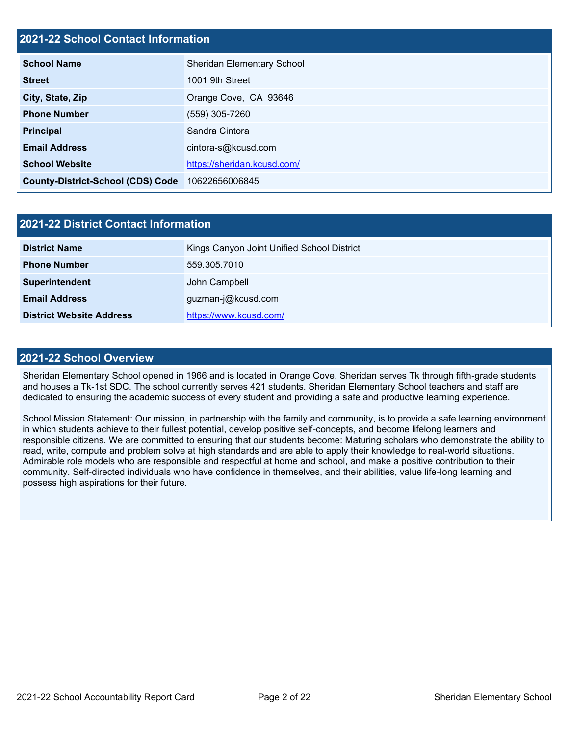# **2021-22 School Contact Information**

| <b>School Name</b>                       | <b>Sheridan Elementary School</b> |
|------------------------------------------|-----------------------------------|
| <b>Street</b>                            | 1001 9th Street                   |
| City, State, Zip                         | Orange Cove, CA 93646             |
| <b>Phone Number</b>                      | (559) 305-7260                    |
| <b>Principal</b>                         | Sandra Cintora                    |
| <b>Email Address</b>                     | cintora-s@kcusd.com               |
| <b>School Website</b>                    | https://sheridan.kcusd.com/       |
| <b>County-District-School (CDS) Code</b> | 10622656006845                    |

| 2021-22 District Contact Information |                                            |  |  |  |
|--------------------------------------|--------------------------------------------|--|--|--|
| <b>District Name</b>                 | Kings Canyon Joint Unified School District |  |  |  |
| <b>Phone Number</b>                  | 559.305.7010                               |  |  |  |
| Superintendent                       | John Campbell                              |  |  |  |
| <b>Email Address</b>                 | guzman-j@kcusd.com                         |  |  |  |
| <b>District Website Address</b>      | https://www.kcusd.com/                     |  |  |  |

### **2021-22 School Overview**

Sheridan Elementary School opened in 1966 and is located in Orange Cove. Sheridan serves Tk through fifth-grade students and houses a Tk-1st SDC. The school currently serves 421 students. Sheridan Elementary School teachers and staff are dedicated to ensuring the academic success of every student and providing a safe and productive learning experience.

School Mission Statement: Our mission, in partnership with the family and community, is to provide a safe learning environment in which students achieve to their fullest potential, develop positive self-concepts, and become lifelong learners and responsible citizens. We are committed to ensuring that our students become: Maturing scholars who demonstrate the ability to read, write, compute and problem solve at high standards and are able to apply their knowledge to real-world situations. Admirable role models who are responsible and respectful at home and school, and make a positive contribution to their community. Self-directed individuals who have confidence in themselves, and their abilities, value life-long learning and possess high aspirations for their future.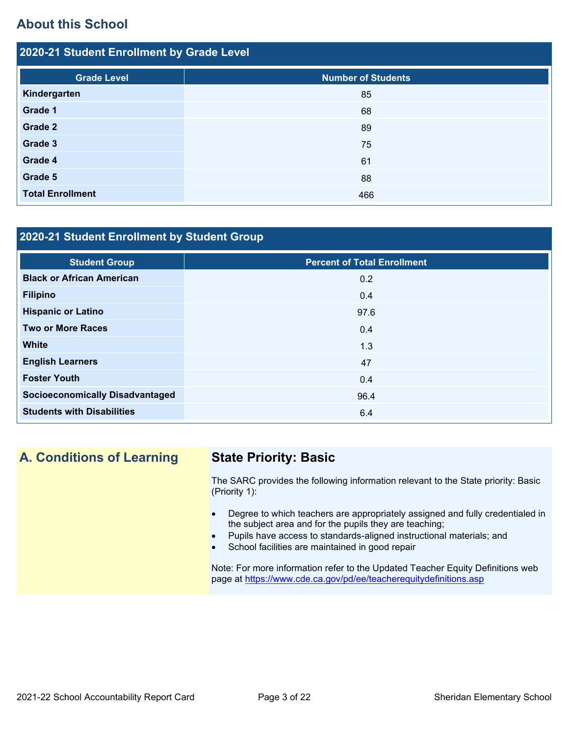# **About this School**

| 2020-21 Student Enrollment by Grade Level |                           |  |  |  |
|-------------------------------------------|---------------------------|--|--|--|
| <b>Grade Level</b>                        | <b>Number of Students</b> |  |  |  |
| Kindergarten                              | 85                        |  |  |  |
| Grade 1                                   | 68                        |  |  |  |
| Grade 2                                   | 89                        |  |  |  |
| Grade 3                                   | 75                        |  |  |  |
| Grade 4                                   | 61                        |  |  |  |
| Grade 5                                   | 88                        |  |  |  |
| <b>Total Enrollment</b>                   | 466                       |  |  |  |

# **2020-21 Student Enrollment by Student Group**

| <b>Student Group</b>                   | <b>Percent of Total Enrollment</b> |
|----------------------------------------|------------------------------------|
| <b>Black or African American</b>       | 0.2                                |
| <b>Filipino</b>                        | 0.4                                |
| <b>Hispanic or Latino</b>              | 97.6                               |
| <b>Two or More Races</b>               | 0.4                                |
| <b>White</b>                           | 1.3                                |
| <b>English Learners</b>                | 47                                 |
| <b>Foster Youth</b>                    | 0.4                                |
| <b>Socioeconomically Disadvantaged</b> | 96.4                               |
| <b>Students with Disabilities</b>      | 6.4                                |

# **A. Conditions of Learning State Priority: Basic**

The SARC provides the following information relevant to the State priority: Basic (Priority 1):

- Degree to which teachers are appropriately assigned and fully credentialed in the subject area and for the pupils they are teaching;
- Pupils have access to standards-aligned instructional materials; and
- School facilities are maintained in good repair

Note: For more information refer to the Updated Teacher Equity Definitions web page at<https://www.cde.ca.gov/pd/ee/teacherequitydefinitions.asp>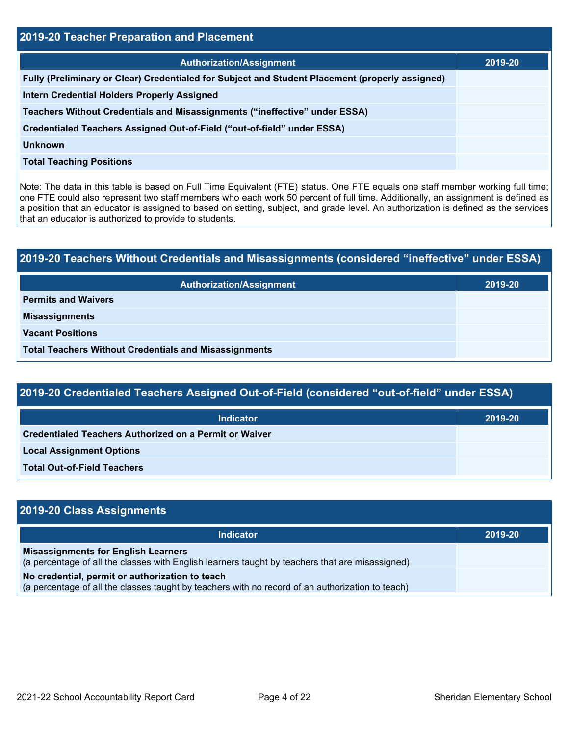| 2019-20 Teacher Preparation and Placement                                                       |         |  |  |  |
|-------------------------------------------------------------------------------------------------|---------|--|--|--|
| <b>Authorization/Assignment</b>                                                                 | 2019-20 |  |  |  |
| Fully (Preliminary or Clear) Credentialed for Subject and Student Placement (properly assigned) |         |  |  |  |
| <b>Intern Credential Holders Properly Assigned</b>                                              |         |  |  |  |
| Teachers Without Credentials and Misassignments ("ineffective" under ESSA)                      |         |  |  |  |
| Credentialed Teachers Assigned Out-of-Field ("out-of-field" under ESSA)                         |         |  |  |  |
| <b>Unknown</b>                                                                                  |         |  |  |  |
| <b>Total Teaching Positions</b>                                                                 |         |  |  |  |

Note: The data in this table is based on Full Time Equivalent (FTE) status. One FTE equals one staff member working full time; one FTE could also represent two staff members who each work 50 percent of full time. Additionally, an assignment is defined as a position that an educator is assigned to based on setting, subject, and grade level. An authorization is defined as the services that an educator is authorized to provide to students.

# **2019-20 Teachers Without Credentials and Misassignments (considered "ineffective" under ESSA) Authorization/Assignment 2019-20 Permits and Waivers Misassignments Vacant Positions Total Teachers Without Credentials and Misassignments**

| 2019-20 Credentialed Teachers Assigned Out-of-Field (considered "out-of-field" under ESSA) |         |  |  |  |
|--------------------------------------------------------------------------------------------|---------|--|--|--|
| <b>Indicator</b>                                                                           | 2019-20 |  |  |  |
| Credentialed Teachers Authorized on a Permit or Waiver                                     |         |  |  |  |
| <b>Local Assignment Options</b>                                                            |         |  |  |  |
| <b>Total Out-of-Field Teachers</b>                                                         |         |  |  |  |

| 2019-20 Class Assignments                                                                                                                           |         |
|-----------------------------------------------------------------------------------------------------------------------------------------------------|---------|
| Indicator                                                                                                                                           | 2019-20 |
| <b>Misassignments for English Learners</b><br>(a percentage of all the classes with English learners taught by teachers that are misassigned)       |         |
| No credential, permit or authorization to teach<br>(a percentage of all the classes taught by teachers with no record of an authorization to teach) |         |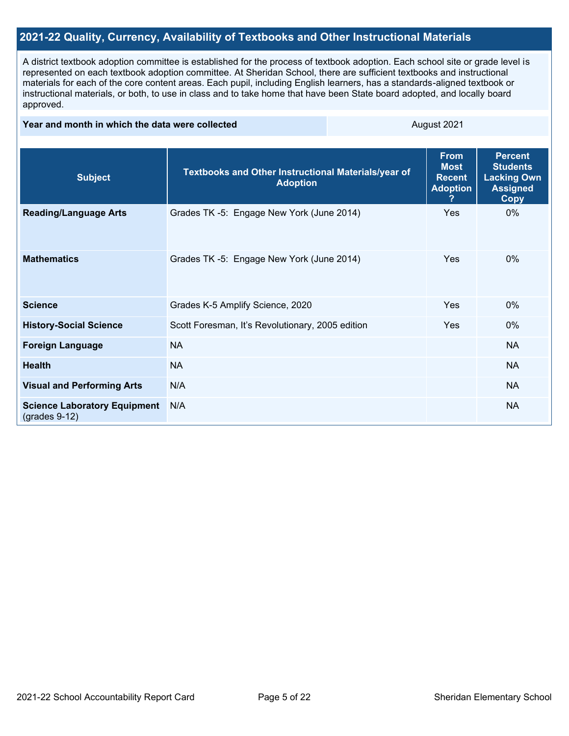# **2021-22 Quality, Currency, Availability of Textbooks and Other Instructional Materials**

A district textbook adoption committee is established for the process of textbook adoption. Each school site or grade level is represented on each textbook adoption committee. At Sheridan School, there are sufficient textbooks and instructional materials for each of the core content areas. Each pupil, including English learners, has a standards-aligned textbook or instructional materials, or both, to use in class and to take home that have been State board adopted, and locally board approved.

#### **Year and month in which the data were collected** August 2021

| <b>Subject</b>                                         | <b>Textbooks and Other Instructional Materials/year of</b><br><b>Adoption</b> | <b>From</b><br><b>Most</b><br><b>Recent</b><br><b>Adoption</b><br>? | <b>Percent</b><br><b>Students</b><br><b>Lacking Own</b><br><b>Assigned</b><br><b>Copy</b> |
|--------------------------------------------------------|-------------------------------------------------------------------------------|---------------------------------------------------------------------|-------------------------------------------------------------------------------------------|
| <b>Reading/Language Arts</b>                           | Grades TK -5: Engage New York (June 2014)                                     | Yes                                                                 | $0\%$                                                                                     |
| <b>Mathematics</b>                                     | Grades TK -5: Engage New York (June 2014)                                     | Yes                                                                 | $0\%$                                                                                     |
| <b>Science</b>                                         | Grades K-5 Amplify Science, 2020                                              | Yes                                                                 | $0\%$                                                                                     |
| <b>History-Social Science</b>                          | Scott Foresman, It's Revolutionary, 2005 edition                              | Yes                                                                 | 0%                                                                                        |
| <b>Foreign Language</b>                                | <b>NA</b>                                                                     |                                                                     | <b>NA</b>                                                                                 |
| <b>Health</b>                                          | <b>NA</b>                                                                     |                                                                     | <b>NA</b>                                                                                 |
| <b>Visual and Performing Arts</b>                      | N/A                                                                           |                                                                     | <b>NA</b>                                                                                 |
| <b>Science Laboratory Equipment</b><br>$(grades 9-12)$ | N/A                                                                           |                                                                     | <b>NA</b>                                                                                 |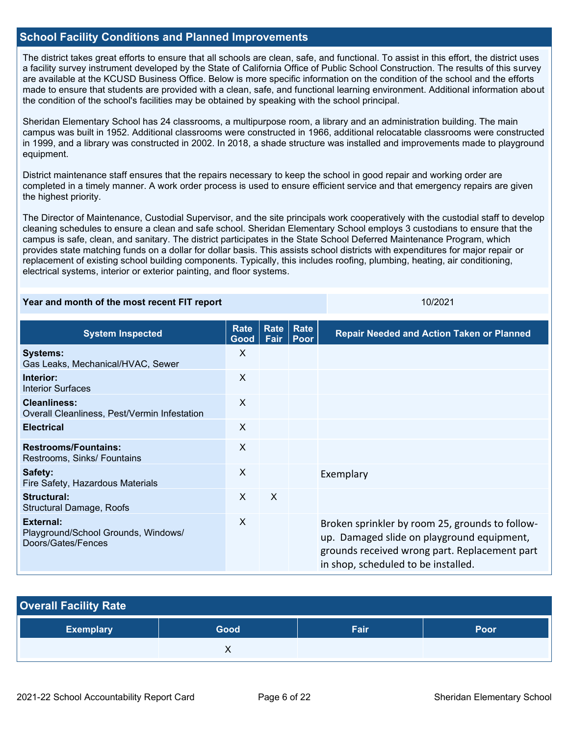# **School Facility Conditions and Planned Improvements**

The district takes great efforts to ensure that all schools are clean, safe, and functional. To assist in this effort, the district uses a facility survey instrument developed by the State of California Office of Public School Construction. The results of this survey are available at the KCUSD Business Office. Below is more specific information on the condition of the school and the efforts made to ensure that students are provided with a clean, safe, and functional learning environment. Additional information about the condition of the school's facilities may be obtained by speaking with the school principal.

Sheridan Elementary School has 24 classrooms, a multipurpose room, a library and an administration building. The main campus was built in 1952. Additional classrooms were constructed in 1966, additional relocatable classrooms were constructed in 1999, and a library was constructed in 2002. In 2018, a shade structure was installed and improvements made to playground equipment.

District maintenance staff ensures that the repairs necessary to keep the school in good repair and working order are completed in a timely manner. A work order process is used to ensure efficient service and that emergency repairs are given the highest priority.

The Director of Maintenance, Custodial Supervisor, and the site principals work cooperatively with the custodial staff to develop cleaning schedules to ensure a clean and safe school. Sheridan Elementary School employs 3 custodians to ensure that the campus is safe, clean, and sanitary. The district participates in the State School Deferred Maintenance Program, which provides state matching funds on a dollar for dollar basis. This assists school districts with expenditures for major repair or replacement of existing school building components. Typically, this includes roofing, plumbing, heating, air conditioning, electrical systems, interior or exterior painting, and floor systems.

#### **Year and month of the most recent FIT report** 10/2021 10/2021

| <b>System Inspected</b>                                                | <b>Rate</b><br>Good | Rate<br>Fair | Rate<br><b>Poor</b> | <b>Repair Needed and Action Taken or Planned</b>                                                                                                                                      |
|------------------------------------------------------------------------|---------------------|--------------|---------------------|---------------------------------------------------------------------------------------------------------------------------------------------------------------------------------------|
| <b>Systems:</b><br>Gas Leaks, Mechanical/HVAC, Sewer                   | $\mathsf{X}$        |              |                     |                                                                                                                                                                                       |
| Interior:<br><b>Interior Surfaces</b>                                  | X                   |              |                     |                                                                                                                                                                                       |
| <b>Cleanliness:</b><br>Overall Cleanliness, Pest/Vermin Infestation    | X                   |              |                     |                                                                                                                                                                                       |
| <b>Electrical</b>                                                      | X                   |              |                     |                                                                                                                                                                                       |
| <b>Restrooms/Fountains:</b><br>Restrooms, Sinks/ Fountains             | X                   |              |                     |                                                                                                                                                                                       |
| Safety:<br>Fire Safety, Hazardous Materials                            | X                   |              |                     | Exemplary                                                                                                                                                                             |
| Structural:<br>Structural Damage, Roofs                                | $\mathsf{X}$        | X            |                     |                                                                                                                                                                                       |
| External:<br>Playground/School Grounds, Windows/<br>Doors/Gates/Fences | X                   |              |                     | Broken sprinkler by room 25, grounds to follow-<br>up. Damaged slide on playground equipment,<br>grounds received wrong part. Replacement part<br>in shop, scheduled to be installed. |

| <b>Overall Facility Rate</b> |      |      |      |  |  |
|------------------------------|------|------|------|--|--|
| <b>Exemplary</b>             | Good | Fair | Poor |  |  |
|                              |      |      |      |  |  |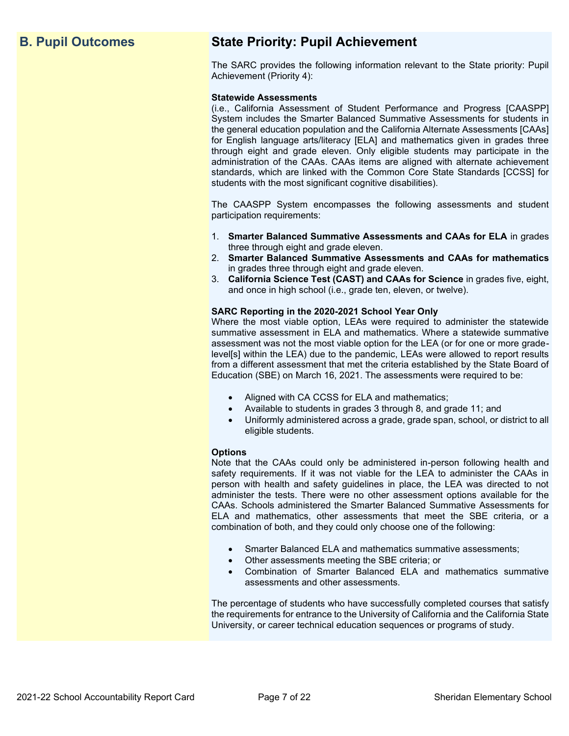# **B. Pupil Outcomes State Priority: Pupil Achievement**

The SARC provides the following information relevant to the State priority: Pupil Achievement (Priority 4):

#### **Statewide Assessments**

(i.e., California Assessment of Student Performance and Progress [CAASPP] System includes the Smarter Balanced Summative Assessments for students in the general education population and the California Alternate Assessments [CAAs] for English language arts/literacy [ELA] and mathematics given in grades three through eight and grade eleven. Only eligible students may participate in the administration of the CAAs. CAAs items are aligned with alternate achievement standards, which are linked with the Common Core State Standards [CCSS] for students with the most significant cognitive disabilities).

The CAASPP System encompasses the following assessments and student participation requirements:

- 1. **Smarter Balanced Summative Assessments and CAAs for ELA** in grades three through eight and grade eleven.
- 2. **Smarter Balanced Summative Assessments and CAAs for mathematics** in grades three through eight and grade eleven.
- 3. **California Science Test (CAST) and CAAs for Science** in grades five, eight, and once in high school (i.e., grade ten, eleven, or twelve).

#### **SARC Reporting in the 2020-2021 School Year Only**

Where the most viable option, LEAs were required to administer the statewide summative assessment in ELA and mathematics. Where a statewide summative assessment was not the most viable option for the LEA (or for one or more gradelevel[s] within the LEA) due to the pandemic, LEAs were allowed to report results from a different assessment that met the criteria established by the State Board of Education (SBE) on March 16, 2021. The assessments were required to be:

- Aligned with CA CCSS for ELA and mathematics;
- Available to students in grades 3 through 8, and grade 11; and
- Uniformly administered across a grade, grade span, school, or district to all eligible students.

#### **Options**

Note that the CAAs could only be administered in-person following health and safety requirements. If it was not viable for the LEA to administer the CAAs in person with health and safety guidelines in place, the LEA was directed to not administer the tests. There were no other assessment options available for the CAAs. Schools administered the Smarter Balanced Summative Assessments for ELA and mathematics, other assessments that meet the SBE criteria, or a combination of both, and they could only choose one of the following:

- Smarter Balanced ELA and mathematics summative assessments;
- Other assessments meeting the SBE criteria; or
- Combination of Smarter Balanced ELA and mathematics summative assessments and other assessments.

The percentage of students who have successfully completed courses that satisfy the requirements for entrance to the University of California and the California State University, or career technical education sequences or programs of study.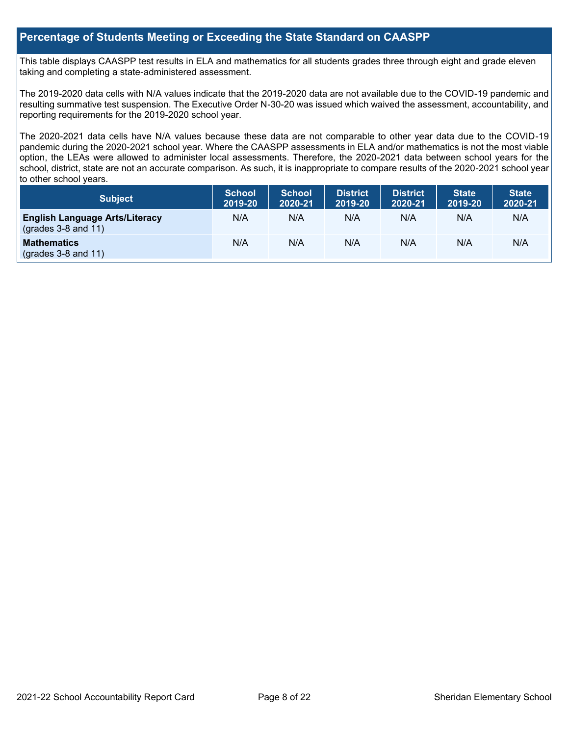# **Percentage of Students Meeting or Exceeding the State Standard on CAASPP**

This table displays CAASPP test results in ELA and mathematics for all students grades three through eight and grade eleven taking and completing a state-administered assessment.

The 2019-2020 data cells with N/A values indicate that the 2019-2020 data are not available due to the COVID-19 pandemic and resulting summative test suspension. The Executive Order N-30-20 was issued which waived the assessment, accountability, and reporting requirements for the 2019-2020 school year.

The 2020-2021 data cells have N/A values because these data are not comparable to other year data due to the COVID-19 pandemic during the 2020-2021 school year. Where the CAASPP assessments in ELA and/or mathematics is not the most viable option, the LEAs were allowed to administer local assessments. Therefore, the 2020-2021 data between school years for the school, district, state are not an accurate comparison. As such, it is inappropriate to compare results of the 2020-2021 school year to other school years.

| <b>Subject</b>                                                       | <b>School</b><br>2019-20 | <b>School</b><br>2020-21 | <b>District</b><br>2019-20 | <b>District</b><br>2020-21 | <b>State</b><br>2019-20 | <b>State</b><br>2020-21 |
|----------------------------------------------------------------------|--------------------------|--------------------------|----------------------------|----------------------------|-------------------------|-------------------------|
| <b>English Language Arts/Literacy</b><br>$\left($ grades 3-8 and 11) | N/A                      | N/A                      | N/A                        | N/A                        | N/A                     | N/A                     |
| <b>Mathematics</b><br>$($ grades 3-8 and 11 $)$                      | N/A                      | N/A                      | N/A                        | N/A                        | N/A                     | N/A                     |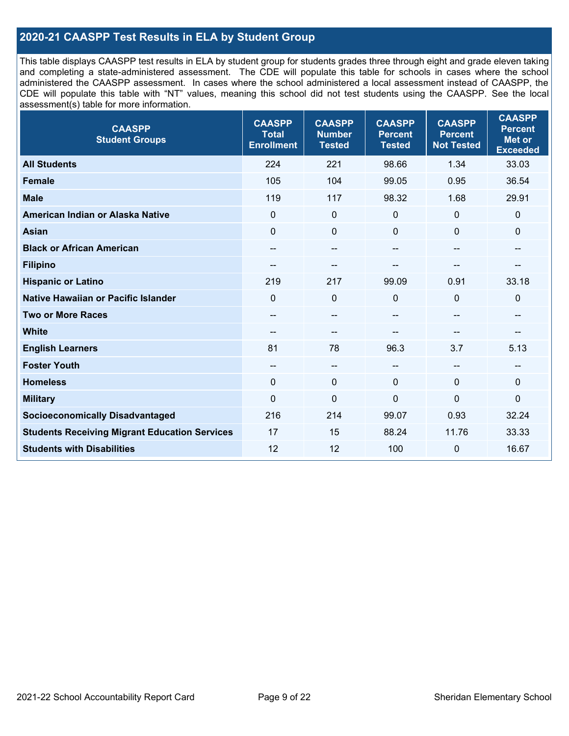# **2020-21 CAASPP Test Results in ELA by Student Group**

This table displays CAASPP test results in ELA by student group for students grades three through eight and grade eleven taking and completing a state-administered assessment. The CDE will populate this table for schools in cases where the school administered the CAASPP assessment. In cases where the school administered a local assessment instead of CAASPP, the CDE will populate this table with "NT" values, meaning this school did not test students using the CAASPP. See the local assessment(s) table for more information.

| <b>CAASPP</b><br><b>Student Groups</b>               | <b>CAASPP</b><br><b>Total</b><br><b>Enrollment</b> | <b>CAASPP</b><br><b>Number</b><br><b>Tested</b> | <b>CAASPP</b><br><b>Percent</b><br><b>Tested</b> | <b>CAASPP</b><br><b>Percent</b><br><b>Not Tested</b> | <b>CAASPP</b><br><b>Percent</b><br><b>Met or</b><br><b>Exceeded</b> |
|------------------------------------------------------|----------------------------------------------------|-------------------------------------------------|--------------------------------------------------|------------------------------------------------------|---------------------------------------------------------------------|
| <b>All Students</b>                                  | 224                                                | 221                                             | 98.66                                            | 1.34                                                 | 33.03                                                               |
| <b>Female</b>                                        | 105                                                | 104                                             | 99.05                                            | 0.95                                                 | 36.54                                                               |
| <b>Male</b>                                          | 119                                                | 117                                             | 98.32                                            | 1.68                                                 | 29.91                                                               |
| American Indian or Alaska Native                     | $\mathbf 0$                                        | $\mathbf 0$                                     | 0                                                | $\mathbf 0$                                          | 0                                                                   |
| <b>Asian</b>                                         | $\mathbf 0$                                        | $\pmb{0}$                                       | $\mathbf{0}$                                     | $\Omega$                                             | 0                                                                   |
| <b>Black or African American</b>                     | --                                                 | $\overline{\phantom{m}}$                        | --                                               | $\overline{\phantom{a}}$                             | --                                                                  |
| <b>Filipino</b>                                      |                                                    | --                                              |                                                  |                                                      |                                                                     |
| <b>Hispanic or Latino</b>                            | 219                                                | 217                                             | 99.09                                            | 0.91                                                 | 33.18                                                               |
| <b>Native Hawaiian or Pacific Islander</b>           | $\mathbf 0$                                        | $\mathbf 0$                                     | $\mathbf{0}$                                     | $\mathbf{0}$                                         | $\mathbf 0$                                                         |
| <b>Two or More Races</b>                             | --                                                 | $\overline{\phantom{m}}$                        | --                                               | $\sim$                                               | --                                                                  |
| <b>White</b>                                         | $- -$                                              | $\overline{\phantom{m}}$                        | --                                               | --                                                   | --                                                                  |
| <b>English Learners</b>                              | 81                                                 | 78                                              | 96.3                                             | 3.7                                                  | 5.13                                                                |
| <b>Foster Youth</b>                                  | $\qquad \qquad -$                                  | $\overline{\phantom{a}}$                        | $\overline{a}$                                   | $\overline{a}$                                       | --                                                                  |
| <b>Homeless</b>                                      | $\Omega$                                           | $\mathbf 0$                                     | $\mathbf{0}$                                     | $\mathbf 0$                                          | 0                                                                   |
| <b>Military</b>                                      | $\mathbf 0$                                        | $\pmb{0}$                                       | 0                                                | $\overline{0}$                                       | $\mathbf 0$                                                         |
| <b>Socioeconomically Disadvantaged</b>               | 216                                                | 214                                             | 99.07                                            | 0.93                                                 | 32.24                                                               |
| <b>Students Receiving Migrant Education Services</b> | 17                                                 | 15                                              | 88.24                                            | 11.76                                                | 33.33                                                               |
| <b>Students with Disabilities</b>                    | 12                                                 | 12                                              | 100                                              | 0                                                    | 16.67                                                               |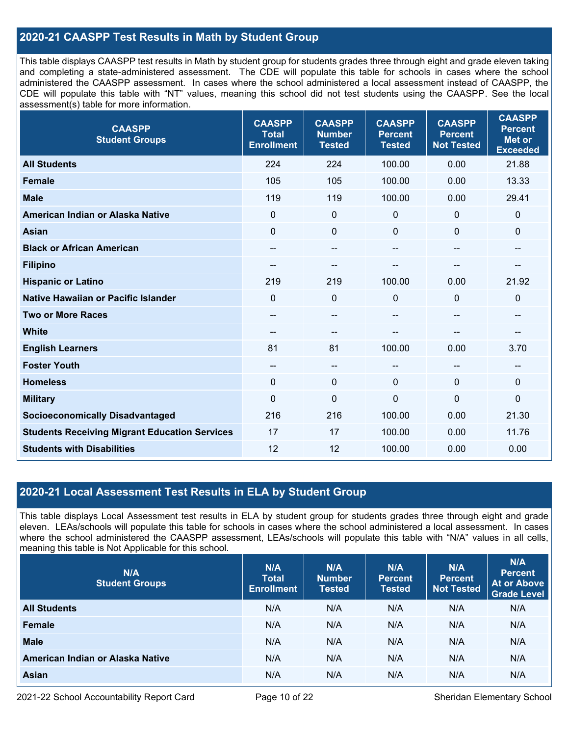# **2020-21 CAASPP Test Results in Math by Student Group**

This table displays CAASPP test results in Math by student group for students grades three through eight and grade eleven taking and completing a state-administered assessment. The CDE will populate this table for schools in cases where the school administered the CAASPP assessment. In cases where the school administered a local assessment instead of CAASPP, the CDE will populate this table with "NT" values, meaning this school did not test students using the CAASPP. See the local assessment(s) table for more information.

| <b>CAASPP</b><br><b>Student Groups</b>               | <b>CAASPP</b><br><b>Total</b><br><b>Enrollment</b> | <b>CAASPP</b><br><b>Number</b><br><b>Tested</b> | <b>CAASPP</b><br><b>Percent</b><br><b>Tested</b> | <b>CAASPP</b><br><b>Percent</b><br><b>Not Tested</b> | <b>CAASPP</b><br><b>Percent</b><br><b>Met or</b><br><b>Exceeded</b> |
|------------------------------------------------------|----------------------------------------------------|-------------------------------------------------|--------------------------------------------------|------------------------------------------------------|---------------------------------------------------------------------|
| <b>All Students</b>                                  | 224                                                | 224                                             | 100.00                                           | 0.00                                                 | 21.88                                                               |
| <b>Female</b>                                        | 105                                                | 105                                             | 100.00                                           | 0.00                                                 | 13.33                                                               |
| <b>Male</b>                                          | 119                                                | 119                                             | 100.00                                           | 0.00                                                 | 29.41                                                               |
| American Indian or Alaska Native                     | $\mathbf{0}$                                       | $\mathbf 0$                                     | $\mathbf 0$                                      | 0                                                    | $\mathbf 0$                                                         |
| <b>Asian</b>                                         | $\mathbf 0$                                        | $\mathbf 0$                                     | $\mathbf 0$                                      | 0                                                    | $\mathbf 0$                                                         |
| <b>Black or African American</b>                     | $\hspace{0.05cm}$ – $\hspace{0.05cm}$              | --                                              | --                                               | --                                                   | $\overline{\phantom{a}}$                                            |
| <b>Filipino</b>                                      | --                                                 | $-$                                             | --                                               | --                                                   |                                                                     |
| <b>Hispanic or Latino</b>                            | 219                                                | 219                                             | 100.00                                           | 0.00                                                 | 21.92                                                               |
| Native Hawaiian or Pacific Islander                  | $\mathbf 0$                                        | $\mathbf 0$                                     | $\mathbf 0$                                      | $\Omega$                                             | 0                                                                   |
| <b>Two or More Races</b>                             | $\hspace{0.05cm}$ – $\hspace{0.05cm}$              | --                                              | --                                               | --                                                   | $\sim$                                                              |
| <b>White</b>                                         | --                                                 | $-$                                             |                                                  |                                                      | --                                                                  |
| <b>English Learners</b>                              | 81                                                 | 81                                              | 100.00                                           | 0.00                                                 | 3.70                                                                |
| <b>Foster Youth</b>                                  | $\overline{\phantom{m}}$                           | $\qquad \qquad -$                               | --                                               | --                                                   | $\hspace{0.05cm}$ – $\hspace{0.05cm}$                               |
| <b>Homeless</b>                                      | $\mathbf 0$                                        | $\mathbf 0$                                     | $\mathbf 0$                                      | $\Omega$                                             | $\mathbf 0$                                                         |
| <b>Military</b>                                      | $\mathbf 0$                                        | $\pmb{0}$                                       | $\mathbf 0$                                      | $\overline{0}$                                       | $\mathbf 0$                                                         |
| <b>Socioeconomically Disadvantaged</b>               | 216                                                | 216                                             | 100.00                                           | 0.00                                                 | 21.30                                                               |
| <b>Students Receiving Migrant Education Services</b> | 17                                                 | 17                                              | 100.00                                           | 0.00                                                 | 11.76                                                               |
| <b>Students with Disabilities</b>                    | 12                                                 | 12                                              | 100.00                                           | 0.00                                                 | 0.00                                                                |

# **2020-21 Local Assessment Test Results in ELA by Student Group**

This table displays Local Assessment test results in ELA by student group for students grades three through eight and grade eleven. LEAs/schools will populate this table for schools in cases where the school administered a local assessment. In cases where the school administered the CAASPP assessment, LEAs/schools will populate this table with "N/A" values in all cells, meaning this table is Not Applicable for this school.

| N/A<br><b>Student Groups</b>     | N/A<br><b>Total</b><br><b>Enrollment</b> | N/A<br><b>Number</b><br><b>Tested</b> | N/A<br><b>Percent</b><br><b>Tested</b> | N/A<br>Percent<br><b>Not Tested</b> | N/A<br><b>Percent</b><br><b>At or Above</b><br><b>Grade Level</b> |
|----------------------------------|------------------------------------------|---------------------------------------|----------------------------------------|-------------------------------------|-------------------------------------------------------------------|
| <b>All Students</b>              | N/A                                      | N/A                                   | N/A                                    | N/A                                 | N/A                                                               |
| Female                           | N/A                                      | N/A                                   | N/A                                    | N/A                                 | N/A                                                               |
| <b>Male</b>                      | N/A                                      | N/A                                   | N/A                                    | N/A                                 | N/A                                                               |
| American Indian or Alaska Native | N/A                                      | N/A                                   | N/A                                    | N/A                                 | N/A                                                               |
| <b>Asian</b>                     | N/A                                      | N/A                                   | N/A                                    | N/A                                 | N/A                                                               |

2021-22 School Accountability Report Card **Page 10 of 22** Sheridan Elementary School Page 10 of 22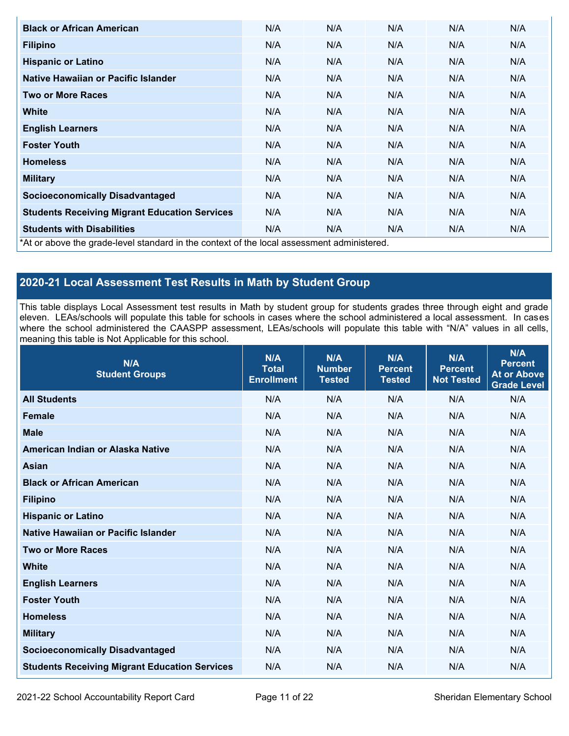| <b>Black or African American</b>                                                           | N/A | N/A | N/A | N/A | N/A |
|--------------------------------------------------------------------------------------------|-----|-----|-----|-----|-----|
| <b>Filipino</b>                                                                            | N/A | N/A | N/A | N/A | N/A |
| <b>Hispanic or Latino</b>                                                                  | N/A | N/A | N/A | N/A | N/A |
| Native Hawaiian or Pacific Islander                                                        | N/A | N/A | N/A | N/A | N/A |
| <b>Two or More Races</b>                                                                   | N/A | N/A | N/A | N/A | N/A |
| <b>White</b>                                                                               | N/A | N/A | N/A | N/A | N/A |
| <b>English Learners</b>                                                                    | N/A | N/A | N/A | N/A | N/A |
| <b>Foster Youth</b>                                                                        | N/A | N/A | N/A | N/A | N/A |
| <b>Homeless</b>                                                                            | N/A | N/A | N/A | N/A | N/A |
| <b>Military</b>                                                                            | N/A | N/A | N/A | N/A | N/A |
| <b>Socioeconomically Disadvantaged</b>                                                     | N/A | N/A | N/A | N/A | N/A |
| <b>Students Receiving Migrant Education Services</b>                                       | N/A | N/A | N/A | N/A | N/A |
| <b>Students with Disabilities</b>                                                          | N/A | N/A | N/A | N/A | N/A |
| *At or above the grade-level standard in the context of the local assessment administered. |     |     |     |     |     |

# **2020-21 Local Assessment Test Results in Math by Student Group**

This table displays Local Assessment test results in Math by student group for students grades three through eight and grade eleven. LEAs/schools will populate this table for schools in cases where the school administered a local assessment. In cases where the school administered the CAASPP assessment, LEAs/schools will populate this table with "N/A" values in all cells, meaning this table is Not Applicable for this school.

| N/A<br><b>Student Groups</b>                         | N/A<br><b>Total</b><br><b>Enrollment</b> | N/A<br><b>Number</b><br><b>Tested</b> | N/A<br><b>Percent</b><br><b>Tested</b> | N/A<br><b>Percent</b><br><b>Not Tested</b> | N/A<br><b>Percent</b><br><b>At or Above</b><br><b>Grade Level</b> |
|------------------------------------------------------|------------------------------------------|---------------------------------------|----------------------------------------|--------------------------------------------|-------------------------------------------------------------------|
| <b>All Students</b>                                  | N/A                                      | N/A                                   | N/A                                    | N/A                                        | N/A                                                               |
| <b>Female</b>                                        | N/A                                      | N/A                                   | N/A                                    | N/A                                        | N/A                                                               |
| <b>Male</b>                                          | N/A                                      | N/A                                   | N/A                                    | N/A                                        | N/A                                                               |
| American Indian or Alaska Native                     | N/A                                      | N/A                                   | N/A                                    | N/A                                        | N/A                                                               |
| <b>Asian</b>                                         | N/A                                      | N/A                                   | N/A                                    | N/A                                        | N/A                                                               |
| <b>Black or African American</b>                     | N/A                                      | N/A                                   | N/A                                    | N/A                                        | N/A                                                               |
| <b>Filipino</b>                                      | N/A                                      | N/A                                   | N/A                                    | N/A                                        | N/A                                                               |
| <b>Hispanic or Latino</b>                            | N/A                                      | N/A                                   | N/A                                    | N/A                                        | N/A                                                               |
| Native Hawaiian or Pacific Islander                  | N/A                                      | N/A                                   | N/A                                    | N/A                                        | N/A                                                               |
| <b>Two or More Races</b>                             | N/A                                      | N/A                                   | N/A                                    | N/A                                        | N/A                                                               |
| <b>White</b>                                         | N/A                                      | N/A                                   | N/A                                    | N/A                                        | N/A                                                               |
| <b>English Learners</b>                              | N/A                                      | N/A                                   | N/A                                    | N/A                                        | N/A                                                               |
| <b>Foster Youth</b>                                  | N/A                                      | N/A                                   | N/A                                    | N/A                                        | N/A                                                               |
| <b>Homeless</b>                                      | N/A                                      | N/A                                   | N/A                                    | N/A                                        | N/A                                                               |
| <b>Military</b>                                      | N/A                                      | N/A                                   | N/A                                    | N/A                                        | N/A                                                               |
| <b>Socioeconomically Disadvantaged</b>               | N/A                                      | N/A                                   | N/A                                    | N/A                                        | N/A                                                               |
| <b>Students Receiving Migrant Education Services</b> | N/A                                      | N/A                                   | N/A                                    | N/A                                        | N/A                                                               |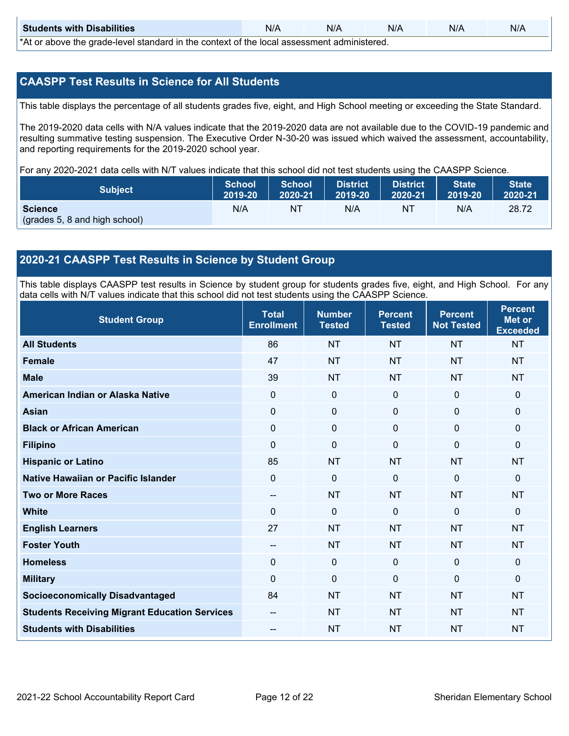| <b>Students with Disabilities</b>                                                           | N/A | N/A | N/A | N/A | N/A |  |  |
|---------------------------------------------------------------------------------------------|-----|-----|-----|-----|-----|--|--|
| *At as above the escale level standard in the context of the local accordinate admissioned. |     |     |     |     |     |  |  |

\*At or above the grade-level standard in the context of the local assessment administered.

# **CAASPP Test Results in Science for All Students**

This table displays the percentage of all students grades five, eight, and High School meeting or exceeding the State Standard.

The 2019-2020 data cells with N/A values indicate that the 2019-2020 data are not available due to the COVID-19 pandemic and resulting summative testing suspension. The Executive Order N-30-20 was issued which waived the assessment, accountability, and reporting requirements for the 2019-2020 school year.

For any 2020-2021 data cells with N/T values indicate that this school did not test students using the CAASPP Science.

| <b>Subject</b>                | <b>School</b><br>2019-20 | <b>School</b><br>2020-21 | <b>District</b><br>12019-20 | District<br>2020-21 | State <sup>1</sup><br>2019-20 | <b>State</b><br>2020-21 |
|-------------------------------|--------------------------|--------------------------|-----------------------------|---------------------|-------------------------------|-------------------------|
| <b>Science</b>                | N/A                      | ΝT                       | N/A                         | NT.                 | N/A                           | 28.72                   |
| (grades 5, 8 and high school) |                          |                          |                             |                     |                               |                         |

# **2020-21 CAASPP Test Results in Science by Student Group**

This table displays CAASPP test results in Science by student group for students grades five, eight, and High School. For any data cells with N/T values indicate that this school did not test students using the CAASPP Science.

| <b>Student Group</b>                                 | <b>Total</b><br><b>Enrollment</b> | <b>Number</b><br><b>Tested</b> | <b>Percent</b><br><b>Tested</b> | <b>Percent</b><br><b>Not Tested</b> | <b>Percent</b><br><b>Met or</b><br><b>Exceeded</b> |
|------------------------------------------------------|-----------------------------------|--------------------------------|---------------------------------|-------------------------------------|----------------------------------------------------|
| <b>All Students</b>                                  | 86                                | <b>NT</b>                      | <b>NT</b>                       | <b>NT</b>                           | <b>NT</b>                                          |
| <b>Female</b>                                        | 47                                | <b>NT</b>                      | <b>NT</b>                       | <b>NT</b>                           | <b>NT</b>                                          |
| <b>Male</b>                                          | 39                                | <b>NT</b>                      | <b>NT</b>                       | <b>NT</b>                           | <b>NT</b>                                          |
| American Indian or Alaska Native                     | $\Omega$                          | $\mathbf 0$                    | $\mathbf 0$                     | $\mathbf 0$                         | $\mathbf{0}$                                       |
| <b>Asian</b>                                         | $\mathbf 0$                       | $\mathbf 0$                    | $\mathbf 0$                     | $\mathbf 0$                         | $\mathbf{0}$                                       |
| <b>Black or African American</b>                     | $\mathbf 0$                       | $\mathbf 0$                    | $\mathbf 0$                     | 0                                   | $\mathbf 0$                                        |
| <b>Filipino</b>                                      | 0                                 | $\mathbf 0$                    | $\mathbf{0}$                    | $\Omega$                            | $\mathbf 0$                                        |
| <b>Hispanic or Latino</b>                            | 85                                | <b>NT</b>                      | <b>NT</b>                       | <b>NT</b>                           | <b>NT</b>                                          |
| Native Hawaiian or Pacific Islander                  | 0                                 | $\mathbf 0$                    | $\mathbf{0}$                    | $\mathbf 0$                         | $\mathbf{0}$                                       |
| <b>Two or More Races</b>                             | --                                | <b>NT</b>                      | <b>NT</b>                       | <b>NT</b>                           | <b>NT</b>                                          |
| <b>White</b>                                         | $\Omega$                          | $\mathbf 0$                    | $\mathbf{0}$                    | $\mathbf{0}$                        | $\mathbf{0}$                                       |
| <b>English Learners</b>                              | 27                                | <b>NT</b>                      | <b>NT</b>                       | <b>NT</b>                           | <b>NT</b>                                          |
| <b>Foster Youth</b>                                  | $-$                               | <b>NT</b>                      | <b>NT</b>                       | <b>NT</b>                           | <b>NT</b>                                          |
| <b>Homeless</b>                                      | 0                                 | $\mathbf{0}$                   | $\mathbf 0$                     | $\mathbf 0$                         | $\mathbf 0$                                        |
| <b>Military</b>                                      | $\Omega$                          | $\mathbf 0$                    | $\mathbf{0}$                    | $\mathbf{0}$                        | $\mathbf{0}$                                       |
| <b>Socioeconomically Disadvantaged</b>               | 84                                | <b>NT</b>                      | <b>NT</b>                       | <b>NT</b>                           | <b>NT</b>                                          |
| <b>Students Receiving Migrant Education Services</b> | --                                | <b>NT</b>                      | <b>NT</b>                       | <b>NT</b>                           | <b>NT</b>                                          |
| <b>Students with Disabilities</b>                    | $\qquad \qquad -$                 | <b>NT</b>                      | <b>NT</b>                       | <b>NT</b>                           | <b>NT</b>                                          |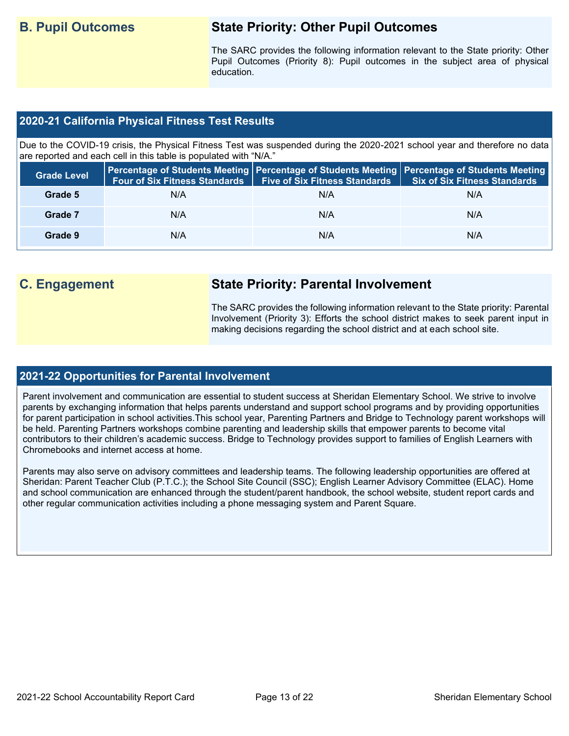# **B. Pupil Outcomes State Priority: Other Pupil Outcomes**

The SARC provides the following information relevant to the State priority: Other Pupil Outcomes (Priority 8): Pupil outcomes in the subject area of physical education.

# **2020-21 California Physical Fitness Test Results**

Due to the COVID-19 crisis, the Physical Fitness Test was suspended during the 2020-2021 school year and therefore no data are reported and each cell in this table is populated with "N/A."

| <b>Grade Level</b> | <b>Four of Six Fitness Standards</b> | <b>Five of Six Fitness Standards</b> | Percentage of Students Meeting   Percentage of Students Meeting   Percentage of Students Meeting  <br><b>Six of Six Fitness Standards</b> |
|--------------------|--------------------------------------|--------------------------------------|-------------------------------------------------------------------------------------------------------------------------------------------|
| Grade 5            | N/A                                  | N/A                                  | N/A                                                                                                                                       |
| Grade 7            | N/A                                  | N/A                                  | N/A                                                                                                                                       |
| Grade 9            | N/A                                  | N/A                                  | N/A                                                                                                                                       |

# **C. Engagement State Priority: Parental Involvement**

The SARC provides the following information relevant to the State priority: Parental Involvement (Priority 3): Efforts the school district makes to seek parent input in making decisions regarding the school district and at each school site.

### **2021-22 Opportunities for Parental Involvement**

Parent involvement and communication are essential to student success at Sheridan Elementary School. We strive to involve parents by exchanging information that helps parents understand and support school programs and by providing opportunities for parent participation in school activities.This school year, Parenting Partners and Bridge to Technology parent workshops will be held. Parenting Partners workshops combine parenting and leadership skills that empower parents to become vital contributors to their children's academic success. Bridge to Technology provides support to families of English Learners with Chromebooks and internet access at home.

Parents may also serve on advisory committees and leadership teams. The following leadership opportunities are offered at Sheridan: Parent Teacher Club (P.T.C.); the School Site Council (SSC); English Learner Advisory Committee (ELAC). Home and school communication are enhanced through the student/parent handbook, the school website, student report cards and other regular communication activities including a phone messaging system and Parent Square.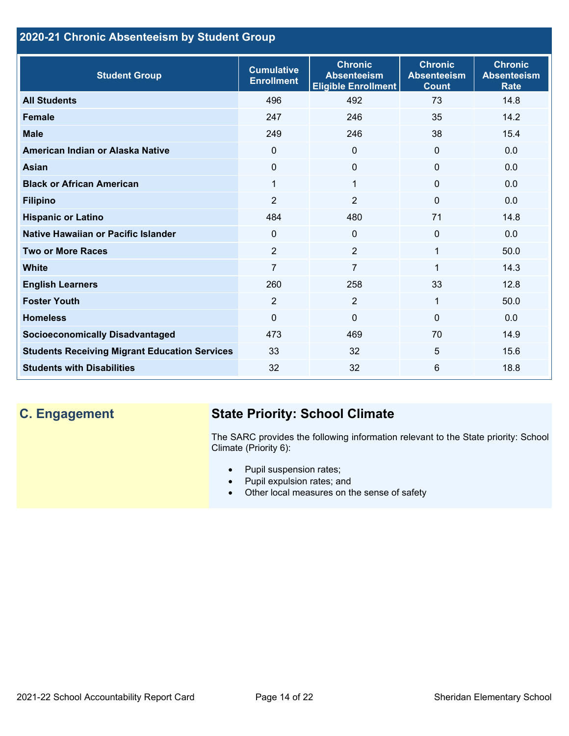# **2020-21 Chronic Absenteeism by Student Group**

| <b>Student Group</b>                                 | <b>Cumulative</b><br><b>Enrollment</b> | <b>Chronic</b><br><b>Absenteeism</b><br><b>Eligible Enrollment</b> | <b>Chronic</b><br><b>Absenteeism</b><br><b>Count</b> | <b>Chronic</b><br><b>Absenteeism</b><br><b>Rate</b> |
|------------------------------------------------------|----------------------------------------|--------------------------------------------------------------------|------------------------------------------------------|-----------------------------------------------------|
| <b>All Students</b>                                  | 496                                    | 492                                                                | 73                                                   | 14.8                                                |
| <b>Female</b>                                        | 247                                    | 246                                                                | 35                                                   | 14.2                                                |
| <b>Male</b>                                          | 249                                    | 246                                                                | 38                                                   | 15.4                                                |
| American Indian or Alaska Native                     | $\Omega$                               | $\Omega$                                                           | $\mathbf{0}$                                         | 0.0                                                 |
| <b>Asian</b>                                         | 0                                      | $\Omega$                                                           | $\mathbf{0}$                                         | 0.0                                                 |
| <b>Black or African American</b>                     | 1                                      | $\mathbf{1}$                                                       | $\mathbf{0}$                                         | 0.0                                                 |
| <b>Filipino</b>                                      | $\overline{2}$                         | $\overline{2}$                                                     | $\mathbf{0}$                                         | 0.0                                                 |
| <b>Hispanic or Latino</b>                            | 484                                    | 480                                                                | 71                                                   | 14.8                                                |
| Native Hawaiian or Pacific Islander                  | 0                                      | $\mathbf 0$                                                        | $\mathbf 0$                                          | 0.0                                                 |
| <b>Two or More Races</b>                             | 2                                      | $\overline{2}$                                                     | 1                                                    | 50.0                                                |
| <b>White</b>                                         | $\overline{7}$                         | $\overline{7}$                                                     | 1                                                    | 14.3                                                |
| <b>English Learners</b>                              | 260                                    | 258                                                                | 33                                                   | 12.8                                                |
| <b>Foster Youth</b>                                  | 2                                      | $\overline{2}$                                                     | 1                                                    | 50.0                                                |
| <b>Homeless</b>                                      | 0                                      | $\mathbf 0$                                                        | $\Omega$                                             | 0.0                                                 |
| <b>Socioeconomically Disadvantaged</b>               | 473                                    | 469                                                                | 70                                                   | 14.9                                                |
| <b>Students Receiving Migrant Education Services</b> | 33                                     | 32                                                                 | 5                                                    | 15.6                                                |
| <b>Students with Disabilities</b>                    | 32                                     | 32                                                                 | 6                                                    | 18.8                                                |

# **C. Engagement State Priority: School Climate**

The SARC provides the following information relevant to the State priority: School Climate (Priority 6):

- Pupil suspension rates;
- Pupil expulsion rates; and
- Other local measures on the sense of safety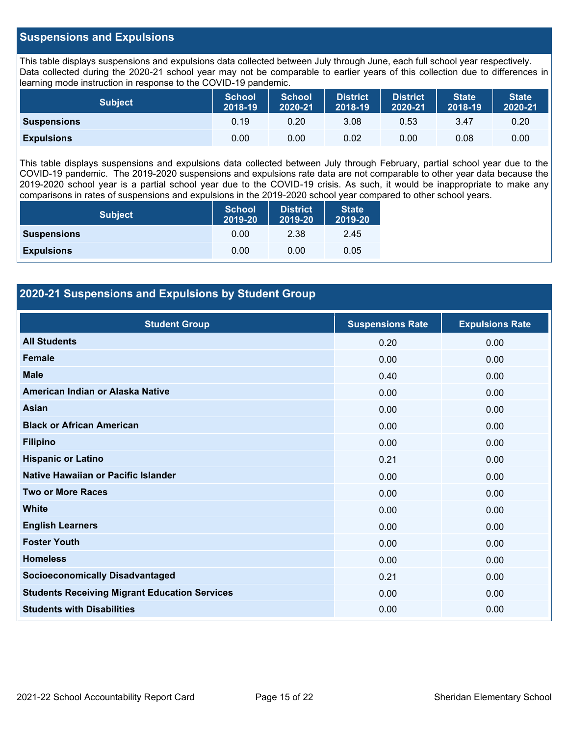# **Suspensions and Expulsions**

This table displays suspensions and expulsions data collected between July through June, each full school year respectively. Data collected during the 2020-21 school year may not be comparable to earlier years of this collection due to differences in learning mode instruction in response to the COVID-19 pandemic.

| <b>Subject</b>     | <b>School</b><br>2018-19 | <b>School</b><br>2020-21 | <b>District</b><br>2018-19 | <b>District</b><br>2020-21 | <b>State</b><br>2018-19 | <b>State</b><br>2020-21 |
|--------------------|--------------------------|--------------------------|----------------------------|----------------------------|-------------------------|-------------------------|
| <b>Suspensions</b> | 0.19                     | 0.20                     | 3.08                       | 0.53                       | 3.47                    | 0.20                    |
| <b>Expulsions</b>  | 0.00                     | 0.00                     | 0.02                       | 0.00                       | 0.08                    | 0.00                    |

This table displays suspensions and expulsions data collected between July through February, partial school year due to the COVID-19 pandemic. The 2019-2020 suspensions and expulsions rate data are not comparable to other year data because the 2019-2020 school year is a partial school year due to the COVID-19 crisis. As such, it would be inappropriate to make any comparisons in rates of suspensions and expulsions in the 2019-2020 school year compared to other school years.

| <b>Subject</b>     | School<br>2019-20 | <b>District</b><br>2019-20 | <b>State</b><br>2019-20 |
|--------------------|-------------------|----------------------------|-------------------------|
| <b>Suspensions</b> | 0.00              | 2.38                       | 2.45                    |
| <b>Expulsions</b>  | 0.00              | 0.00                       | 0.05                    |

# **2020-21 Suspensions and Expulsions by Student Group**

| <b>Student Group</b>                                 | <b>Suspensions Rate</b> | <b>Expulsions Rate</b> |
|------------------------------------------------------|-------------------------|------------------------|
| <b>All Students</b>                                  | 0.20                    | 0.00                   |
| <b>Female</b>                                        | 0.00                    | 0.00                   |
| <b>Male</b>                                          | 0.40                    | 0.00                   |
| American Indian or Alaska Native                     | 0.00                    | 0.00                   |
| <b>Asian</b>                                         | 0.00                    | 0.00                   |
| <b>Black or African American</b>                     | 0.00                    | 0.00                   |
| <b>Filipino</b>                                      | 0.00                    | 0.00                   |
| <b>Hispanic or Latino</b>                            | 0.21                    | 0.00                   |
| Native Hawaiian or Pacific Islander                  | 0.00                    | 0.00                   |
| <b>Two or More Races</b>                             | 0.00                    | 0.00                   |
| <b>White</b>                                         | 0.00                    | 0.00                   |
| <b>English Learners</b>                              | 0.00                    | 0.00                   |
| <b>Foster Youth</b>                                  | 0.00                    | 0.00                   |
| <b>Homeless</b>                                      | 0.00                    | 0.00                   |
| <b>Socioeconomically Disadvantaged</b>               | 0.21                    | 0.00                   |
| <b>Students Receiving Migrant Education Services</b> | 0.00                    | 0.00                   |
| <b>Students with Disabilities</b>                    | 0.00                    | 0.00                   |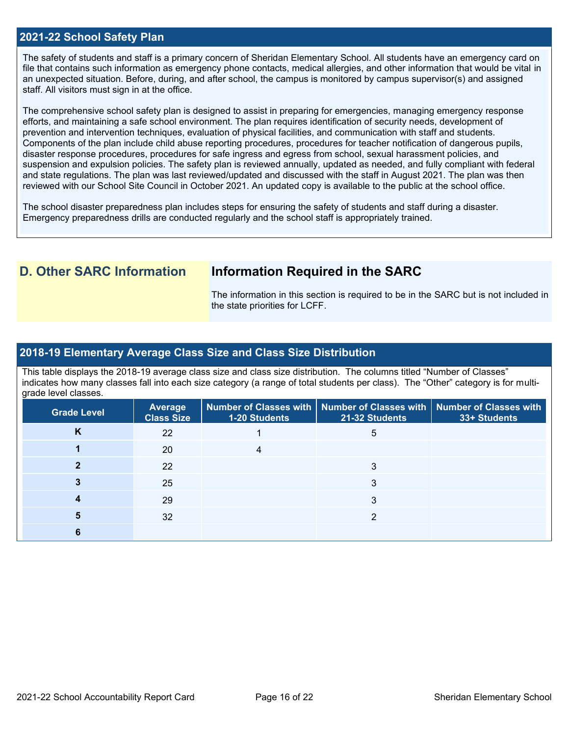## **2021-22 School Safety Plan**

The safety of students and staff is a primary concern of Sheridan Elementary School. All students have an emergency card on file that contains such information as emergency phone contacts, medical allergies, and other information that would be vital in an unexpected situation. Before, during, and after school, the campus is monitored by campus supervisor(s) and assigned staff. All visitors must sign in at the office.

The comprehensive school safety plan is designed to assist in preparing for emergencies, managing emergency response efforts, and maintaining a safe school environment. The plan requires identification of security needs, development of prevention and intervention techniques, evaluation of physical facilities, and communication with staff and students. Components of the plan include child abuse reporting procedures, procedures for teacher notification of dangerous pupils, disaster response procedures, procedures for safe ingress and egress from school, sexual harassment policies, and suspension and expulsion policies. The safety plan is reviewed annually, updated as needed, and fully compliant with federal and state regulations. The plan was last reviewed/updated and discussed with the staff in August 2021. The plan was then reviewed with our School Site Council in October 2021. An updated copy is available to the public at the school office.

The school disaster preparedness plan includes steps for ensuring the safety of students and staff during a disaster. Emergency preparedness drills are conducted regularly and the school staff is appropriately trained.

# **D. Other SARC Information Information Required in the SARC**

The information in this section is required to be in the SARC but is not included in the state priorities for LCFF.

### **2018-19 Elementary Average Class Size and Class Size Distribution**

This table displays the 2018-19 average class size and class size distribution. The columns titled "Number of Classes" indicates how many classes fall into each size category (a range of total students per class). The "Other" category is for multigrade level classes.

| Grade Level | <b>Average</b><br><b>Class Size</b> | 1-20 Students | Number of Classes with   Number of Classes with   Number of Classes with<br>21-32 Students | 33+ Students |
|-------------|-------------------------------------|---------------|--------------------------------------------------------------------------------------------|--------------|
| K           | 22                                  |               | 5                                                                                          |              |
|             | 20                                  |               |                                                                                            |              |
|             | 22                                  |               | 3                                                                                          |              |
|             | 25                                  |               |                                                                                            |              |
|             | 29                                  |               | 3                                                                                          |              |
|             | 32                                  |               | ◠                                                                                          |              |
|             |                                     |               |                                                                                            |              |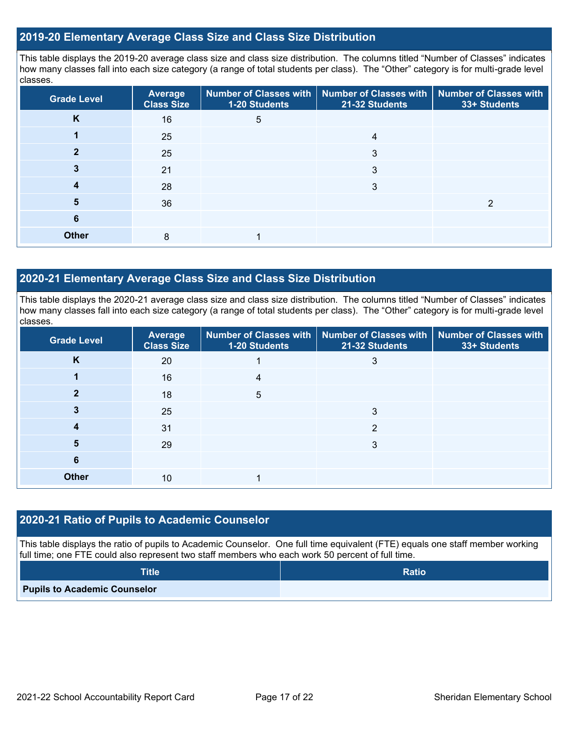## **2019-20 Elementary Average Class Size and Class Size Distribution**

This table displays the 2019-20 average class size and class size distribution. The columns titled "Number of Classes" indicates how many classes fall into each size category (a range of total students per class). The "Other" category is for multi-grade level classes.

| <b>Grade Level</b> | <b>Average</b><br><b>Class Size</b> | 1-20 Students | Number of Classes with   Number of Classes with   Number of Classes with<br>21-32 Students | 33+ Students |
|--------------------|-------------------------------------|---------------|--------------------------------------------------------------------------------------------|--------------|
| K                  | 16                                  | 5             |                                                                                            |              |
|                    | 25                                  |               | 4                                                                                          |              |
|                    | 25                                  |               | 3                                                                                          |              |
| 3                  | 21                                  |               | 3                                                                                          |              |
| 4                  | 28                                  |               | 3                                                                                          |              |
| 5                  | 36                                  |               |                                                                                            | ⌒            |
| 6                  |                                     |               |                                                                                            |              |
| <b>Other</b>       | 8                                   |               |                                                                                            |              |

# **2020-21 Elementary Average Class Size and Class Size Distribution**

This table displays the 2020-21 average class size and class size distribution. The columns titled "Number of Classes" indicates how many classes fall into each size category (a range of total students per class). The "Other" category is for multi-grade level classes.

| <b>Grade Level</b> | <b>Average</b><br><b>Class Size</b> | 1-20 Students | Number of Classes with   Number of Classes with   Number of Classes with<br>21-32 Students | 33+ Students |
|--------------------|-------------------------------------|---------------|--------------------------------------------------------------------------------------------|--------------|
| K                  | 20                                  |               | 3                                                                                          |              |
|                    | 16                                  | 4             |                                                                                            |              |
| 2                  | 18                                  | 5             |                                                                                            |              |
|                    | 25                                  |               | 3                                                                                          |              |
|                    | 31                                  |               | っ                                                                                          |              |
| 5                  | 29                                  |               | 3                                                                                          |              |
| 6                  |                                     |               |                                                                                            |              |
| <b>Other</b>       | 10                                  |               |                                                                                            |              |

### **2020-21 Ratio of Pupils to Academic Counselor**

This table displays the ratio of pupils to Academic Counselor. One full time equivalent (FTE) equals one staff member working full time; one FTE could also represent two staff members who each work 50 percent of full time.

| <b>Title</b>                        | <b>Ratio</b> |
|-------------------------------------|--------------|
| <b>Pupils to Academic Counselor</b> |              |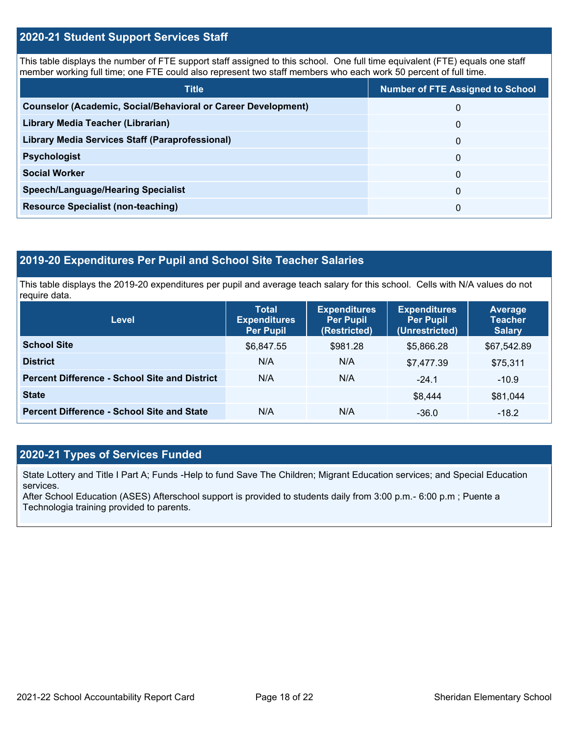# **2020-21 Student Support Services Staff**

This table displays the number of FTE support staff assigned to this school. One full time equivalent (FTE) equals one staff member working full time; one FTE could also represent two staff members who each work 50 percent of full time.

| <b>Title</b>                                                         | <b>Number of FTE Assigned to School</b> |
|----------------------------------------------------------------------|-----------------------------------------|
| <b>Counselor (Academic, Social/Behavioral or Career Development)</b> | 0                                       |
| Library Media Teacher (Librarian)                                    | 0                                       |
| Library Media Services Staff (Paraprofessional)                      | 0                                       |
| <b>Psychologist</b>                                                  | 0                                       |
| <b>Social Worker</b>                                                 | $\Omega$                                |
| <b>Speech/Language/Hearing Specialist</b>                            | 0                                       |
| <b>Resource Specialist (non-teaching)</b>                            | 0                                       |

# **2019-20 Expenditures Per Pupil and School Site Teacher Salaries**

This table displays the 2019-20 expenditures per pupil and average teach salary for this school. Cells with N/A values do not require data.

| <b>Level</b>                                         | <b>Total</b><br><b>Expenditures</b><br><b>Per Pupil</b> | <b>Expenditures</b><br><b>Per Pupil</b><br>(Restricted) | <b>Expenditures</b><br><b>Per Pupil</b><br>(Unrestricted) | <b>Average</b><br><b>Teacher</b><br><b>Salary</b> |
|------------------------------------------------------|---------------------------------------------------------|---------------------------------------------------------|-----------------------------------------------------------|---------------------------------------------------|
| <b>School Site</b>                                   | \$6,847.55                                              | \$981.28                                                | \$5.866.28                                                | \$67,542.89                                       |
| <b>District</b>                                      | N/A                                                     | N/A                                                     | \$7,477.39                                                | \$75,311                                          |
| <b>Percent Difference - School Site and District</b> | N/A                                                     | N/A                                                     | $-24.1$                                                   | $-10.9$                                           |
| <b>State</b>                                         |                                                         |                                                         | \$8,444                                                   | \$81,044                                          |
| <b>Percent Difference - School Site and State</b>    | N/A                                                     | N/A                                                     | $-36.0$                                                   | $-18.2$                                           |

# **2020-21 Types of Services Funded**

State Lottery and Title I Part A; Funds -Help to fund Save The Children; Migrant Education services; and Special Education services.

After School Education (ASES) Afterschool support is provided to students daily from 3:00 p.m.- 6:00 p.m ; Puente a Technologia training provided to parents.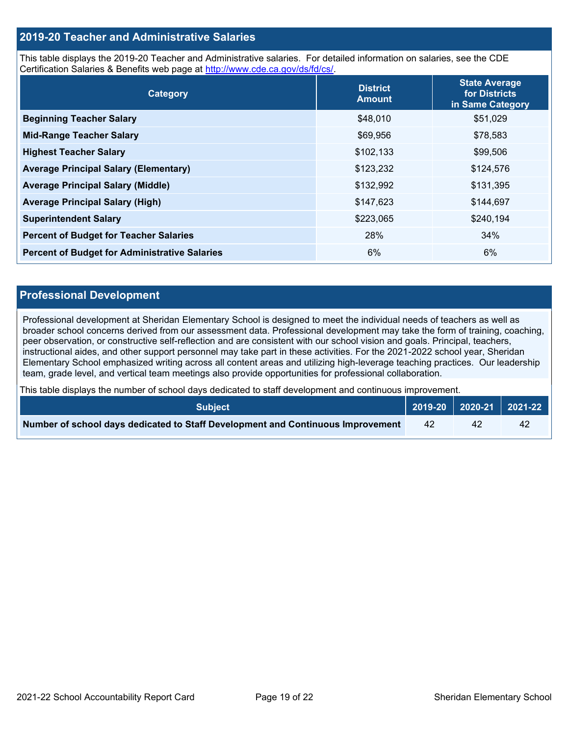# **2019-20 Teacher and Administrative Salaries**

This table displays the 2019-20 Teacher and Administrative salaries. For detailed information on salaries, see the CDE Certification Salaries & Benefits web page at [http://www.cde.ca.gov/ds/fd/cs/.](http://www.cde.ca.gov/ds/fd/cs/)

| Category                                             | <b>District</b><br><b>Amount</b> | <b>State Average</b><br>for Districts<br>in Same Category |
|------------------------------------------------------|----------------------------------|-----------------------------------------------------------|
| <b>Beginning Teacher Salary</b>                      | \$48,010                         | \$51,029                                                  |
| <b>Mid-Range Teacher Salary</b>                      | \$69,956                         | \$78,583                                                  |
| <b>Highest Teacher Salary</b>                        | \$102,133                        | \$99,506                                                  |
| <b>Average Principal Salary (Elementary)</b>         | \$123,232                        | \$124,576                                                 |
| <b>Average Principal Salary (Middle)</b>             | \$132,992                        | \$131,395                                                 |
| <b>Average Principal Salary (High)</b>               | \$147,623                        | \$144,697                                                 |
| <b>Superintendent Salary</b>                         | \$223,065                        | \$240,194                                                 |
| <b>Percent of Budget for Teacher Salaries</b>        | 28%                              | 34%                                                       |
| <b>Percent of Budget for Administrative Salaries</b> | 6%                               | 6%                                                        |

### **Professional Development**

Professional development at Sheridan Elementary School is designed to meet the individual needs of teachers as well as broader school concerns derived from our assessment data. Professional development may take the form of training, coaching, peer observation, or constructive self-reflection and are consistent with our school vision and goals. Principal, teachers, instructional aides, and other support personnel may take part in these activities. For the 2021-2022 school year, Sheridan Elementary School emphasized writing across all content areas and utilizing high-leverage teaching practices. Our leadership team, grade level, and vertical team meetings also provide opportunities for professional collaboration.

This table displays the number of school days dedicated to staff development and continuous improvement.

| <b>Subject</b>                                                                  |    |    | $\vert$ 2019-20 $\vert$ 2020-21 $\vert$ 2021-22 $\vert$ |
|---------------------------------------------------------------------------------|----|----|---------------------------------------------------------|
| Number of school days dedicated to Staff Development and Continuous Improvement | 42 | 42 | $\Delta$                                                |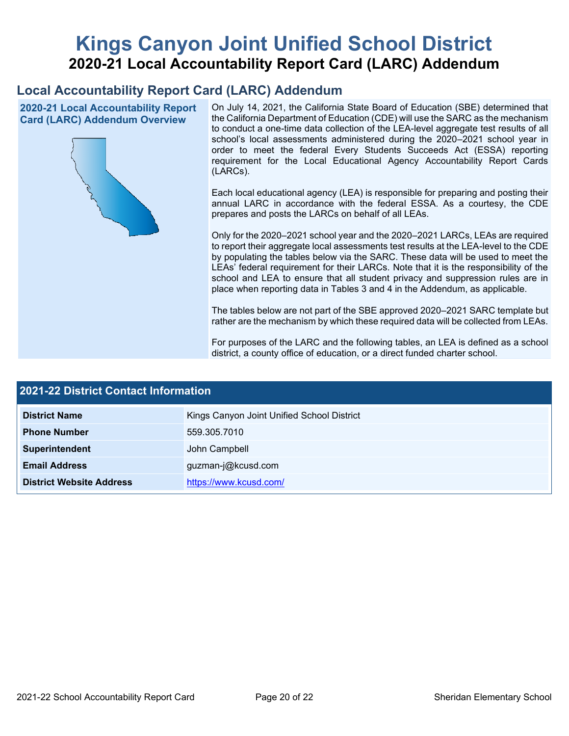# **Kings Canyon Joint Unified School District 2020-21 Local Accountability Report Card (LARC) Addendum**

# **Local Accountability Report Card (LARC) Addendum**

**2020-21 Local Accountability Report Card (LARC) Addendum Overview**



On July 14, 2021, the California State Board of Education (SBE) determined that the California Department of Education (CDE) will use the SARC as the mechanism to conduct a one-time data collection of the LEA-level aggregate test results of all school's local assessments administered during the 2020–2021 school year in order to meet the federal Every Students Succeeds Act (ESSA) reporting requirement for the Local Educational Agency Accountability Report Cards (LARCs).

Each local educational agency (LEA) is responsible for preparing and posting their annual LARC in accordance with the federal ESSA. As a courtesy, the CDE prepares and posts the LARCs on behalf of all LEAs.

Only for the 2020–2021 school year and the 2020–2021 LARCs, LEAs are required to report their aggregate local assessments test results at the LEA-level to the CDE by populating the tables below via the SARC. These data will be used to meet the LEAs' federal requirement for their LARCs. Note that it is the responsibility of the school and LEA to ensure that all student privacy and suppression rules are in place when reporting data in Tables 3 and 4 in the Addendum, as applicable.

The tables below are not part of the SBE approved 2020–2021 SARC template but rather are the mechanism by which these required data will be collected from LEAs.

For purposes of the LARC and the following tables, an LEA is defined as a school district, a county office of education, or a direct funded charter school.

| <b>2021-22 District Contact Information</b> |                                            |  |  |  |
|---------------------------------------------|--------------------------------------------|--|--|--|
| <b>District Name</b>                        | Kings Canyon Joint Unified School District |  |  |  |
| <b>Phone Number</b>                         | 559.305.7010                               |  |  |  |
| Superintendent                              | John Campbell                              |  |  |  |
| <b>Email Address</b>                        | guzman-j@kcusd.com                         |  |  |  |
| <b>District Website Address</b>             | https://www.kcusd.com/                     |  |  |  |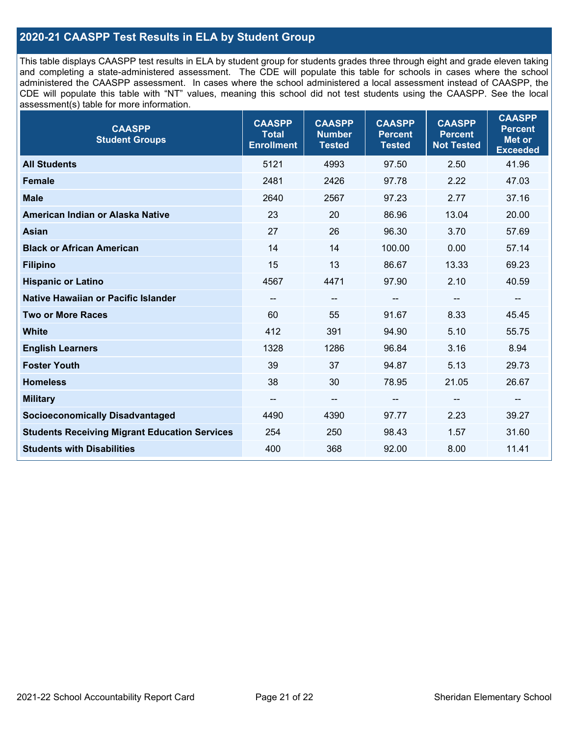# **2020-21 CAASPP Test Results in ELA by Student Group**

This table displays CAASPP test results in ELA by student group for students grades three through eight and grade eleven taking and completing a state-administered assessment. The CDE will populate this table for schools in cases where the school administered the CAASPP assessment. In cases where the school administered a local assessment instead of CAASPP, the CDE will populate this table with "NT" values, meaning this school did not test students using the CAASPP. See the local assessment(s) table for more information.

| <b>CAASPP</b><br><b>Student Groups</b>               | <b>CAASPP</b><br><b>Total</b><br><b>Enrollment</b> | <b>CAASPP</b><br><b>Number</b><br><b>Tested</b> | <b>CAASPP</b><br><b>Percent</b><br><b>Tested</b> | <b>CAASPP</b><br><b>Percent</b><br><b>Not Tested</b> | <b>CAASPP</b><br><b>Percent</b><br><b>Met or</b><br><b>Exceeded</b> |
|------------------------------------------------------|----------------------------------------------------|-------------------------------------------------|--------------------------------------------------|------------------------------------------------------|---------------------------------------------------------------------|
| <b>All Students</b>                                  | 5121                                               | 4993                                            | 97.50                                            | 2.50                                                 | 41.96                                                               |
| <b>Female</b>                                        | 2481                                               | 2426                                            | 97.78                                            | 2.22                                                 | 47.03                                                               |
| <b>Male</b>                                          | 2640                                               | 2567                                            | 97.23                                            | 2.77                                                 | 37.16                                                               |
| American Indian or Alaska Native                     | 23                                                 | 20                                              | 86.96                                            | 13.04                                                | 20.00                                                               |
| <b>Asian</b>                                         | 27                                                 | 26                                              | 96.30                                            | 3.70                                                 | 57.69                                                               |
| <b>Black or African American</b>                     | 14                                                 | 14                                              | 100.00                                           | 0.00                                                 | 57.14                                                               |
| <b>Filipino</b>                                      | 15                                                 | 13                                              | 86.67                                            | 13.33                                                | 69.23                                                               |
| <b>Hispanic or Latino</b>                            | 4567                                               | 4471                                            | 97.90                                            | 2.10                                                 | 40.59                                                               |
| Native Hawaiian or Pacific Islander                  | $\overline{\phantom{a}}$                           | $\overline{\phantom{m}}$                        | --                                               | $\overline{\phantom{a}}$                             | --                                                                  |
| <b>Two or More Races</b>                             | 60                                                 | 55                                              | 91.67                                            | 8.33                                                 | 45.45                                                               |
| <b>White</b>                                         | 412                                                | 391                                             | 94.90                                            | 5.10                                                 | 55.75                                                               |
| <b>English Learners</b>                              | 1328                                               | 1286                                            | 96.84                                            | 3.16                                                 | 8.94                                                                |
| <b>Foster Youth</b>                                  | 39                                                 | 37                                              | 94.87                                            | 5.13                                                 | 29.73                                                               |
| <b>Homeless</b>                                      | 38                                                 | 30                                              | 78.95                                            | 21.05                                                | 26.67                                                               |
| <b>Military</b>                                      | --                                                 | --                                              |                                                  | --                                                   | --                                                                  |
| <b>Socioeconomically Disadvantaged</b>               | 4490                                               | 4390                                            | 97.77                                            | 2.23                                                 | 39.27                                                               |
| <b>Students Receiving Migrant Education Services</b> | 254                                                | 250                                             | 98.43                                            | 1.57                                                 | 31.60                                                               |
| <b>Students with Disabilities</b>                    | 400                                                | 368                                             | 92.00                                            | 8.00                                                 | 11.41                                                               |